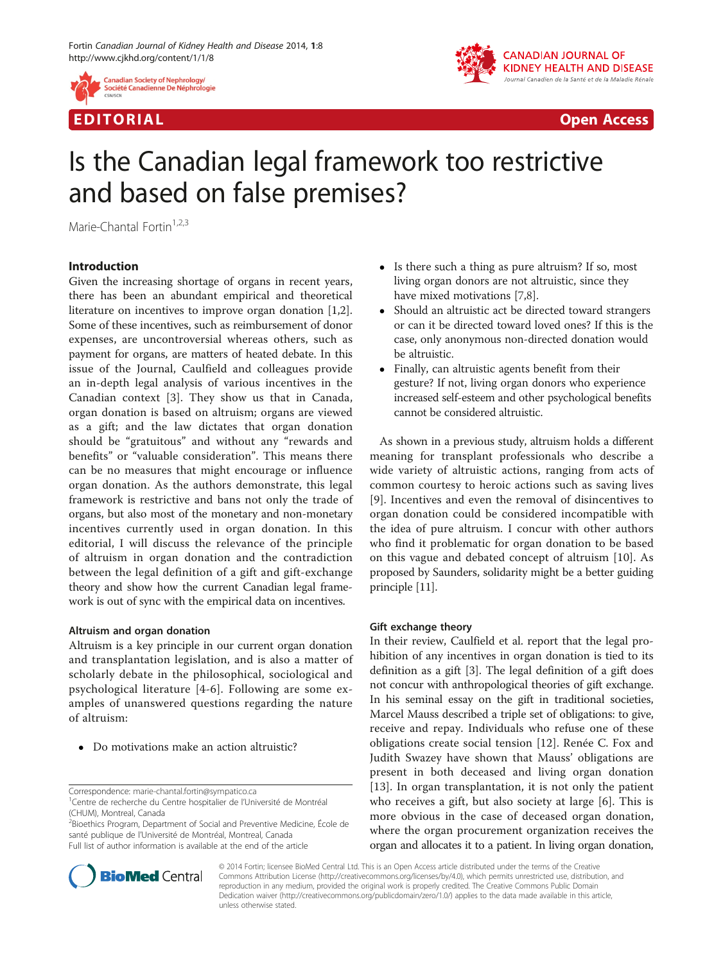



EDI TORIA L Open Access

# Is the Canadian legal framework too restrictive and based on false premises?

Marie-Chantal Fortin $1,2,3$ 

## Introduction

Given the increasing shortage of organs in recent years, there has been an abundant empirical and theoretical literature on incentives to improve organ donation [\[1,2](#page-1-0)]. Some of these incentives, such as reimbursement of donor expenses, are uncontroversial whereas others, such as payment for organs, are matters of heated debate. In this issue of the Journal, Caulfield and colleagues provide an in-depth legal analysis of various incentives in the Canadian context [\[3](#page-1-0)]. They show us that in Canada, organ donation is based on altruism; organs are viewed as a gift; and the law dictates that organ donation should be "gratuitous" and without any "rewards and benefits" or "valuable consideration". This means there can be no measures that might encourage or influence organ donation. As the authors demonstrate, this legal framework is restrictive and bans not only the trade of organs, but also most of the monetary and non-monetary incentives currently used in organ donation. In this editorial, I will discuss the relevance of the principle of altruism in organ donation and the contradiction between the legal definition of a gift and gift-exchange theory and show how the current Canadian legal framework is out of sync with the empirical data on incentives.

## Altruism and organ donation

Altruism is a key principle in our current organ donation and transplantation legislation, and is also a matter of scholarly debate in the philosophical, sociological and psychological literature [\[4-6](#page-1-0)]. Following are some examples of unanswered questions regarding the nature of altruism:

• Do motivations make an action altruistic?

Correspondence: [marie-chantal.fortin@sympatico.ca](mailto:marie-chantal.fortin@sympatico.ca) <sup>1</sup>

<sup>2</sup>Bioethics Program, Department of Social and Preventive Medicine, École de santé publique de l'Université de Montréal, Montreal, Canada Full list of author information is available at the end of the article

- Is there such a thing as pure altruism? If so, most living organ donors are not altruistic, since they have mixed motivations [[7,8\]](#page-1-0).
- Should an altruistic act be directed toward strangers or can it be directed toward loved ones? If this is the case, only anonymous non-directed donation would be altruistic.
- Finally, can altruistic agents benefit from their gesture? If not, living organ donors who experience increased self-esteem and other psychological benefits cannot be considered altruistic.

As shown in a previous study, altruism holds a different meaning for transplant professionals who describe a wide variety of altruistic actions, ranging from acts of common courtesy to heroic actions such as saving lives [[9\]](#page-1-0). Incentives and even the removal of disincentives to organ donation could be considered incompatible with the idea of pure altruism. I concur with other authors who find it problematic for organ donation to be based on this vague and debated concept of altruism [[10\]](#page-1-0). As proposed by Saunders, solidarity might be a better guiding principle [[11](#page-1-0)].

## Gift exchange theory

In their review, Caulfield et al. report that the legal prohibition of any incentives in organ donation is tied to its definition as a gift [[3\]](#page-1-0). The legal definition of a gift does not concur with anthropological theories of gift exchange. In his seminal essay on the gift in traditional societies, Marcel Mauss described a triple set of obligations: to give, receive and repay. Individuals who refuse one of these obligations create social tension [\[12](#page-1-0)]. Renée C. Fox and Judith Swazey have shown that Mauss' obligations are present in both deceased and living organ donation [[13\]](#page-1-0). In organ transplantation, it is not only the patient who receives a gift, but also society at large [\[6](#page-1-0)]. This is more obvious in the case of deceased organ donation, where the organ procurement organization receives the organ and allocates it to a patient. In living organ donation,



© 2014 Fortin; licensee BioMed Central Ltd. This is an Open Access article distributed under the terms of the Creative Commons Attribution License [\(http://creativecommons.org/licenses/by/4.0\)](http://creativecommons.org/licenses/by/4.0), which permits unrestricted use, distribution, and reproduction in any medium, provided the original work is properly credited. The Creative Commons Public Domain Dedication waiver [\(http://creativecommons.org/publicdomain/zero/1.0/](http://creativecommons.org/publicdomain/zero/1.0/)) applies to the data made available in this article, unless otherwise stated.

<sup>&</sup>lt;sup>1</sup>Centre de recherche du Centre hospitalier de l'Université de Montréal (CHUM), Montreal, Canada